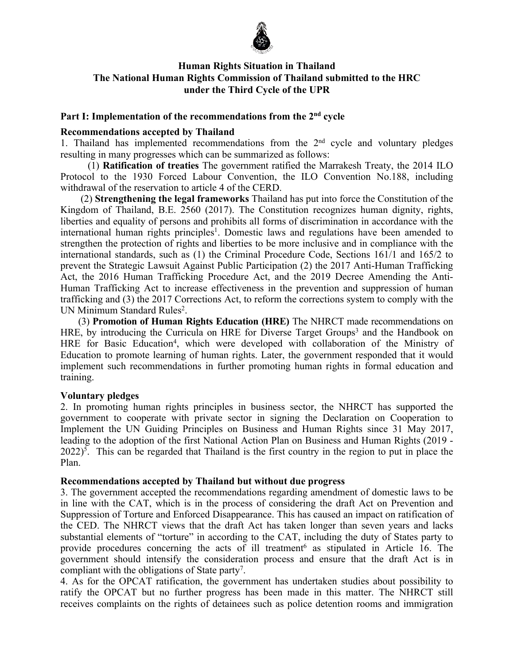

# **Human Rights Situation in Thailand The National Human Rights Commission of Thailand submitted to the HRC under the Third Cycle of the UPR**

# **Part I: Implementation of the recommendations from the 2nd cycle**

## **Recommendations accepted by Thailand**

1. Thailand has implemented recommendations from the 2<sup>nd</sup> cycle and voluntary pledges resulting in many progresses which can be summarized as follows:

(1) **Ratification of treaties** The governmen<sup>t</sup> ratified the Marrakesh Treaty, the 2014 ILO Protocol to the 1930 Forced Labour Convention, the ILO Convention No.188, including withdrawal of the reservation to article 4 of the CERD.

(2) **Strengthening the legal frameworks** Thailand has pu<sup>t</sup> into force the Constitution of the Kingdom of Thailand, B.E. 2560 (2017). The Constitution recognizes human dignity, rights, liberties and equality of persons and prohibits all forms of discrimination in accordance with the international human rights principles 1 . Domestic laws and regulations have been amended to strengthen the protection of rights and liberties to be more inclusive and in compliance with the international standards, such as (1) the Criminal Procedure Code, Sections 161/1 and 165/2 to preven<sup>t</sup> the Strategic Lawsuit Against Public Participation (2) the 2017 Anti-Human Trafficking Act, the 2016 Human Trafficking Procedure Act, and the 2019 Decree Amending the Anti-Human Trafficking Act to increase effectiveness in the prevention and suppression of human trafficking and (3) the 2017 Corrections Act, to reform the corrections system to comply with the UN Minimum Standard Rules 2 .

(3) **Promotion of Human Rights Education (HRE)** The NHRCT made recommendations on HRE, by introducing the Curricula on HRE for Diverse Target Groups 3 and the Handbook on HRE for Basic Education<sup>4</sup>, which were developed with collaboration of the Ministry of Education to promote learning of human rights. Later, the governmen<sup>t</sup> responded that it would implement such recommendations in further promoting human rights in formal education and training.

## **Voluntary pledges**

2. In promoting human rights principles in business sector, the NHRCT has supported the governmen<sup>t</sup> to cooperate with private sector in signing the Declaration on Cooperation to Implement the UN Guiding Principles on Business and Human Rights since 31 May 2017, leading to the adoption of the first National Action Plan on Business and Human Rights (2019 - 2022) 5 . This can be regarded that Thailand is the first country in the region to pu<sup>t</sup> in place the Plan.

## **Recommendations accepted by Thailand but without due progress**

3. The governmen<sup>t</sup> accepted the recommendations regarding amendment of domestic laws to be in line with the CAT, which is in the process of considering the draft Act on Prevention and Suppression of Torture and Enforced Disappearance. This has caused an impact on ratification of the CED. The NHRCT views that the draft Act has taken longer than seven years and lacks substantial elements of "torture" in according to the CAT, including the duty of States party to provide procedures concerning the acts of ill treatment 6 as stipulated in Article 16. The governmen<sup>t</sup> should intensify the consideration process and ensure that the draft Act is in compliant with the obligations of State party<sup>7</sup>.

4. As for the OPCAT ratification, the governmen<sup>t</sup> has undertaken studies about possibility to ratify the OPCAT but no further progress has been made in this matter. The NHRCT still receives complaints on the rights of detainees such as police detention rooms and immigration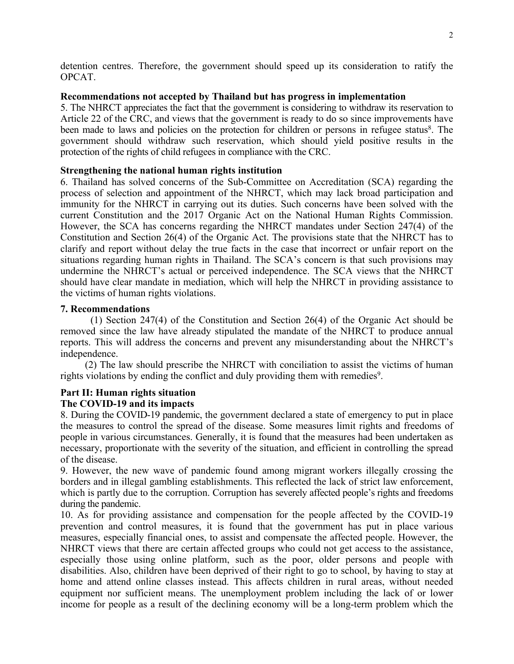detention centres. Therefore, the governmen<sup>t</sup> should speed up its consideration to ratify the OPCAT.

## **Recommendations not accepted by Thailand but has progress in implementation**

5. The NHRCT appreciates the fact that the government is considering to withdraw its reservation to Article 22 of the CRC, and views that the governmen<sup>t</sup> is ready to do so since improvements have been made to laws and policies on the protection for children or persons in refugee status<sup>8</sup>. The governmen<sup>t</sup> should withdraw such reservation, which should yield positive results in the protection of the rights of child refugees in compliance with the CRC.

## **Strengthening the national human rights institution**

6. Thailand has solved concerns of the Sub-Committee on Accreditation (SCA) regarding the process of selection and appointment of the NHRCT, which may lack broad participation and immunity for the NHRCT in carrying out its duties. Such concerns have been solved with the current Constitution and the 2017 Organic Act on the National Human Rights Commission. However, the SCA has concerns regarding the NHRCT mandates under Section 247(4) of the Constitution and Section 26(4) of the Organic Act. The provisions state that the NHRCT has to clarify and repor<sup>t</sup> without delay the true facts in the case that incorrect or unfair repor<sup>t</sup> on the situations regarding human rights in Thailand. The SCA'<sup>s</sup> concern is that such provisions may undermine the NHRCT'<sup>s</sup> actual or perceived independence. The SCA views that the NHRCT should have clear mandate in mediation, which will help the NHRCT in providing assistance to the victims of human rights violations.

## **7. Recommendations**

(1) Section 247(4) of the Constitution and Section 26(4) of the Organic Act should be removed since the law have already stipulated the mandate of the NHRCT to produce annual reports. This will address the concerns and preven<sup>t</sup> any misunderstanding about the NHRCT'<sup>s</sup> independence.

(2) The law should prescribe the NHRCT with conciliation to assist the victims of human rights violations by ending the conflict and duly providing them with remedies 9 .

# **Part II: Human rights situation**

# **The COVID-19 and its impacts**

8. During the COVID-19 pandemic, the governmen<sup>t</sup> declared <sup>a</sup> state of emergency to pu<sup>t</sup> in place the measures to control the spread of the disease. Some measures limit rights and freedoms of people in various circumstances. Generally, it is found that the measures had been undertaken as necessary, proportionate with the severity of the situation, and efficient in controlling the spread of the disease.

9. However, the new wave of pandemic found among migrant workers illegally crossing the borders and in illegal gambling establishments. This reflected the lack of strict law enforcement, which is partly due to the corruption. Corruption has severely affected people'<sup>s</sup> rights and freedoms during the pandemic.

10. As for providing assistance and compensation for the people affected by the COVID-19 prevention and control measures, it is found that the governmen<sup>t</sup> has pu<sup>t</sup> in place various measures, especially financial ones, to assist and compensate the affected people. However, the NHRCT views that there are certain affected groups who could not ge<sup>t</sup> access to the assistance, especially those using online platform, such as the poor, older persons and people with disabilities. Also, children have been deprived of their right to go to school, by having to stay at home and attend online classes instead. This affects children in rural areas, without needed equipment nor sufficient means. The unemployment problem including the lack of or lower income for people as <sup>a</sup> result of the declining economy will be <sup>a</sup> long-term problem which the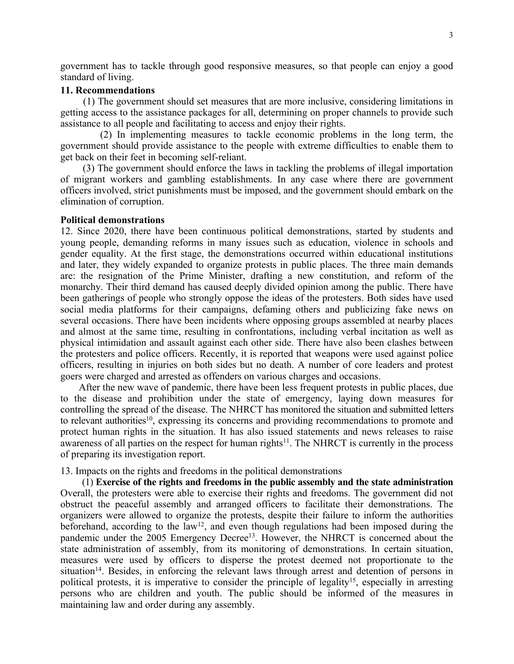governmen<sup>t</sup> has to tackle through good responsive measures, so that people can enjoy <sup>a</sup> good standard of living.

## **11. Recommendations**

(1) The governmen<sup>t</sup> should set measures that are more inclusive, considering limitations in getting access to the assistance packages for all, determining on proper channels to provide such assistance to all people and facilitating to access and enjoy their rights.

(2) In implementing measures to tackle economic problems in the long term, the governmen<sup>t</sup> should provide assistance to the people with extreme difficulties to enable them to ge<sup>t</sup> back on their feet in becoming self-reliant.

(3) The governmen<sup>t</sup> should enforce the laws in tackling the problems of illegal importation of migrant workers and gambling establishments. In any case where there are governmen<sup>t</sup> officers involved, strict punishments must be imposed, and the governmen<sup>t</sup> should embark on the elimination of corruption.

### **Political demonstrations**

12. Since 2020, there have been continuous political demonstrations, started by students and young people, demanding reforms in many issues such as education, violence in schools and gender equality. At the first stage, the demonstrations occurred within educational institutions and later, they widely expanded to organize protests in public places. The three main demands are: the resignation of the Prime Minister, drafting <sup>a</sup> new constitution, and reform of the monarchy. Their third demand has caused deeply divided opinion among the public. There have been gatherings of people who strongly oppose the ideas of the protesters. Both sides have used social media platforms for their campaigns, defaming others and publicizing fake news on several occasions. There have been incidents where opposing groups assembled at nearby places and almost at the same time, resulting in confrontations, including verbal incitation as well as physical intimidation and assault against each other side. There have also been clashes between the protesters and police officers. Recently, it is reported that weapons were used against police officers, resulting in injuries on both sides but no death. A number of core leaders and protest goers were charged and arrested as offenders on various charges and occasions.

After the new wave of pandemic, there have been less frequent protests in public places, due to the disease and prohibition under the state of emergency, laying down measures for controlling the spread of the disease. The NHRCT has monitored the situation and submitted letters to relevant authorities<sup>10</sup>, expressing its concerns and providing recommendations to promote and protect human rights in the situation. It has also issued statements and news releases to raise awareness of all parties on the respect for human rights<sup>11</sup>. The NHRCT is currently in the process of preparing its investigation report.

13. Impacts on the rights and freedoms in the political demonstrations

(1) **Exercise of the rights and freedoms in the public assembly and the state administration** Overall, the protesters were able to exercise their rights and freedoms. The governmen<sup>t</sup> did not obstruct the peaceful assembly and arranged officers to facilitate their demonstrations. The organizers were allowed to organize the protests, despite their failure to inform the authorities beforehand, according to the  $law<sup>12</sup>$ , and even though regulations had been imposed during the pandemic under the 2005 Emergency Decree<sup>13</sup>. However, the NHRCT is concerned about the state administration of assembly, from its monitoring of demonstrations. In certain situation, measures were used by officers to disperse the protest deemed not proportionate to the situation<sup>14</sup>. Besides, in enforcing the relevant laws through arrest and detention of persons in political protests, it is imperative to consider the principle of legality<sup>15</sup>, especially in arresting persons who are children and youth. The public should be informed of the measures in maintaining law and order during any assembly.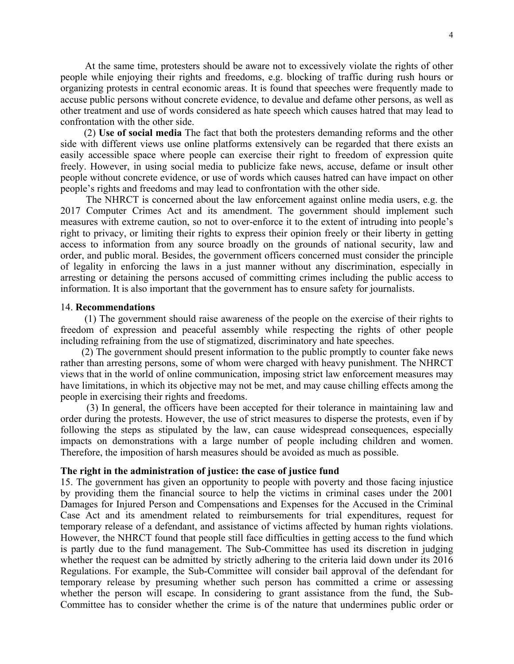At the same time, protesters should be aware not to excessively violate the rights of other people while enjoying their rights and freedoms, e.g. blocking of traffic during rush hours or organizing protests in central economic areas. It is found that speeches were frequently made to accuse public persons without concrete evidence, to devalue and defame other persons, as well as other treatment and use of words considered as hate speech which causes hatred that may lead to confrontation with the other side.

(2) **Use of social media** The fact that both the protesters demanding reforms and the other side with different views use online platforms extensively can be regarded that there exists an easily accessible space where people can exercise their right to freedom of expression quite freely. However, in using social media to publicize fake news, accuse, defame or insult other people without concrete evidence, or use of words which causes hatred can have impact on other people'<sup>s</sup> rights and freedoms and may lead to confrontation with the other side.

The NHRCT is concerned about the law enforcement against online media users, e.g. the 2017 Computer Crimes Act and its amendment. The governmen<sup>t</sup> should implement such measures with extreme caution, so not to over-enforce it to the extent of intruding into people'<sup>s</sup> right to privacy, or limiting their rights to express their opinion freely or their liberty in getting access to information from any source broadly on the grounds of national security, law and order, and public moral. Besides, the governmen<sup>t</sup> officers concerned must consider the principle of legality in enforcing the laws in <sup>a</sup> just manner without any discrimination, especially in arresting or detaining the persons accused of committing crimes including the public access to information. It is also important that the governmen<sup>t</sup> has to ensure safety for journalists.

#### 14. **Recommendations**

(1) The governmen<sup>t</sup> should raise awareness of the people on the exercise of their rights to freedom of expression and peaceful assembly while respecting the rights of other people including refraining from the use of stigmatized, discriminatory and hate speeches.

(2) The governmen<sup>t</sup> should presen<sup>t</sup> information to the public promptly to counter fake news rather than arresting persons, some of whom were charged with heavy punishment. The NHRCT views that in the world of online communication, imposing strict law enforcement measures may have limitations, in which its objective may not be met, and may cause chilling effects among the people in exercising their rights and freedoms.

(3) In general, the officers have been accepted for their tolerance in maintaining law and order during the protests. However, the use of strict measures to disperse the protests, even if by following the steps as stipulated by the law, can cause widespread consequences, especially impacts on demonstrations with <sup>a</sup> large number of people including children and women. Therefore, the imposition of harsh measures should be avoided as much as possible.

## **The right in the administration of justice: the case of justice fund**

15. The governmen<sup>t</sup> has given an opportunity to people with poverty and those facing injustice by providing them the financial source to help the victims in criminal cases under the 2001 Damages for Injured Person and Compensations and Expenses for the Accused in the Criminal Case Act and its amendment related to reimbursements for trial expenditures, reques<sup>t</sup> for temporary release of <sup>a</sup> defendant, and assistance of victims affected by human rights violations. However, the NHRCT found that people still face difficulties in getting access to the fund which is partly due to the fund management. The Sub-Committee has used its discretion in judging whether the reques<sup>t</sup> can be admitted by strictly adhering to the criteria laid down under its 2016 Regulations. For example, the Sub-Committee will consider bail approval of the defendant for temporary release by presuming whether such person has committed <sup>a</sup> crime or assessing whether the person will escape. In considering to gran<sup>t</sup> assistance from the fund, the Sub-Committee has to consider whether the crime is of the nature that undermines public order or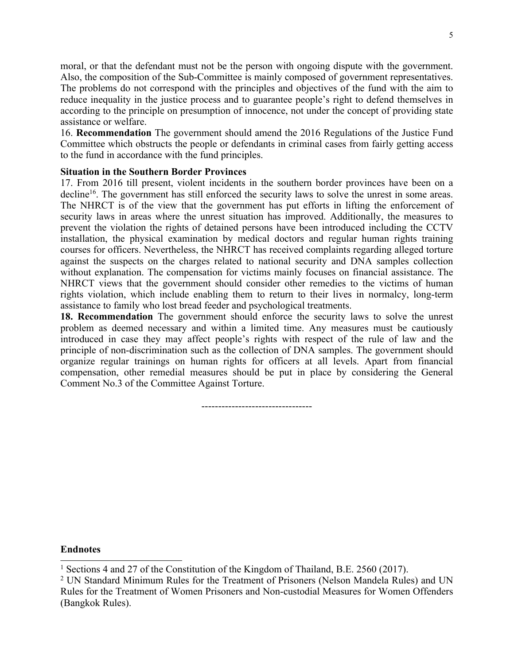moral, or that the defendant must not be the person with ongoing dispute with the government. Also, the composition of the Sub-Committee is mainly composed of governmen<sup>t</sup> representatives. The problems do not correspond with the principles and objectives of the fund with the aim to reduce inequality in the justice process and to guarantee people'<sup>s</sup> right to defend themselves in according to the principle on presumption of innocence, not under the concep<sup>t</sup> of providing state assistance or welfare.

16. **Recommendation** The governmen<sup>t</sup> should amend the 2016 Regulations of the Justice Fund Committee which obstructs the people or defendants in criminal cases from fairly getting access to the fund in accordance with the fund principles.

## **Situation in the Southern Border Provinces**

17. From 2016 till present, violent incidents in the southern border provinces have been on <sup>a</sup> decline<sup>16</sup>. The government has still enforced the security laws to solve the unrest in some areas. The NHRCT is of the view that the governmen<sup>t</sup> has pu<sup>t</sup> efforts in lifting the enforcement of security laws in areas where the unrest situation has improved. Additionally, the measures to preven<sup>t</sup> the violation the rights of detained persons have been introduced including the CCTV installation, the physical examination by medical doctors and regular human rights training courses for officers. Nevertheless, the NHRCT has received complaints regarding alleged torture against the suspects on the charges related to national security and DNA samples collection without explanation. The compensation for victims mainly focuses on financial assistance. The NHRCT views that the governmen<sup>t</sup> should consider other remedies to the victims of human rights violation, which include enabling them to return to their lives in normalcy, long-term assistance to family who lost bread feeder and psychological treatments.

**18. Recommendation** The governmen<sup>t</sup> should enforce the security laws to solve the unrest problem as deemed necessary and within <sup>a</sup> limited time. Any measures must be cautiously introduced in case they may affect people'<sup>s</sup> rights with respec<sup>t</sup> of the rule of law and the principle of non-discrimination such as the collection of DNA samples. The governmen<sup>t</sup> should organize regular trainings on human rights for officers at all levels. Apart from financial compensation, other remedial measures should be pu<sup>t</sup> in place by considering the General Comment No.3 of the Committee Against Torture.

------------------------------

### **Endnotes**

<sup>&</sup>lt;sup>1</sup> Sections 4 and 27 of the Constitution of the Kingdom of Thailand, B.E. 2560 (2017).

<sup>2</sup> UN Standard Minimum Rules for the Treatment of Prisoners (Nelson Mandela Rules) and UN Rules for the Treatment of Women Prisoners and Non-custodial Measures for Women Offenders (Bangkok Rules).